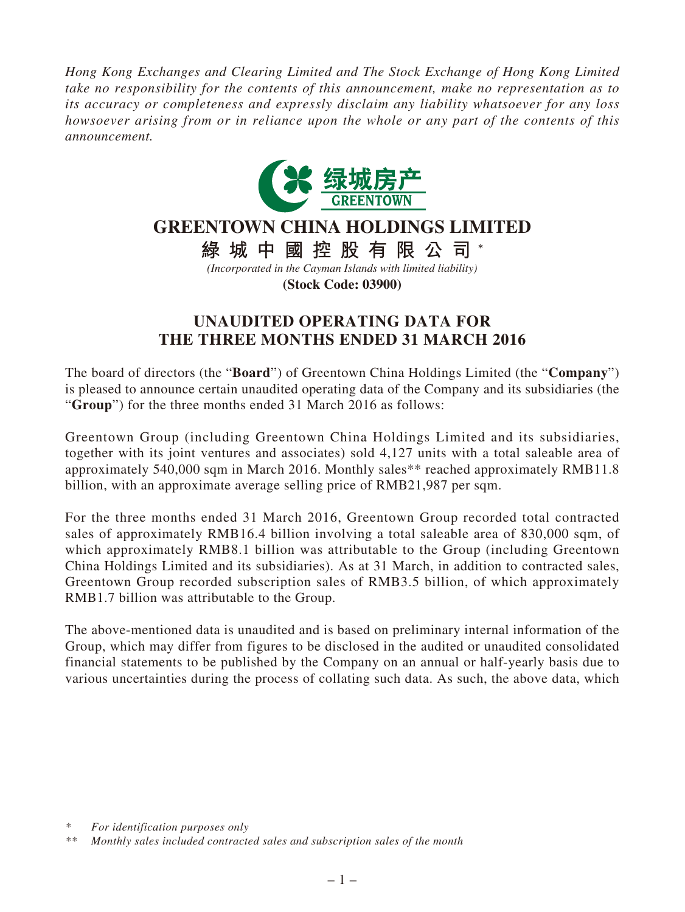*Hong Kong Exchanges and Clearing Limited and The Stock Exchange of Hong Kong Limited take no responsibility for the contents of this announcement, make no representation as to its accuracy or completeness and expressly disclaim any liability whatsoever for any loss howsoever arising from or in reliance upon the whole or any part of the contents of this announcement.*



## **GREENTOWN CHINA HOLDINGS LIMITED**

綠城中國控股有限公司\*

*(Incorporated in the Cayman Islands with limited liability)*

**(Stock Code: 03900)**

## **UNAUDITED OPERATING DATA FOR THE THREE MONTHS ENDED 31 MARCH 2016**

The board of directors (the "**Board**") of Greentown China Holdings Limited (the "**Company**") is pleased to announce certain unaudited operating data of the Company and its subsidiaries (the "**Group**") for the three months ended 31 March 2016 as follows:

Greentown Group (including Greentown China Holdings Limited and its subsidiaries, together with its joint ventures and associates) sold 4,127 units with a total saleable area of approximately 540,000 sqm in March 2016. Monthly sales\*\* reached approximately RMB11.8 billion, with an approximate average selling price of RMB21,987 per sqm.

For the three months ended 31 March 2016, Greentown Group recorded total contracted sales of approximately RMB16.4 billion involving a total saleable area of 830,000 sqm, of which approximately RMB8.1 billion was attributable to the Group (including Greentown China Holdings Limited and its subsidiaries). As at 31 March, in addition to contracted sales, Greentown Group recorded subscription sales of RMB3.5 billion, of which approximately RMB1.7 billion was attributable to the Group.

The above-mentioned data is unaudited and is based on preliminary internal information of the Group, which may differ from figures to be disclosed in the audited or unaudited consolidated financial statements to be published by the Company on an annual or half-yearly basis due to various uncertainties during the process of collating such data. As such, the above data, which

*<sup>\*</sup> For identification purposes only*

*<sup>\*\*</sup> Monthly sales included contracted sales and subscription sales of the month*